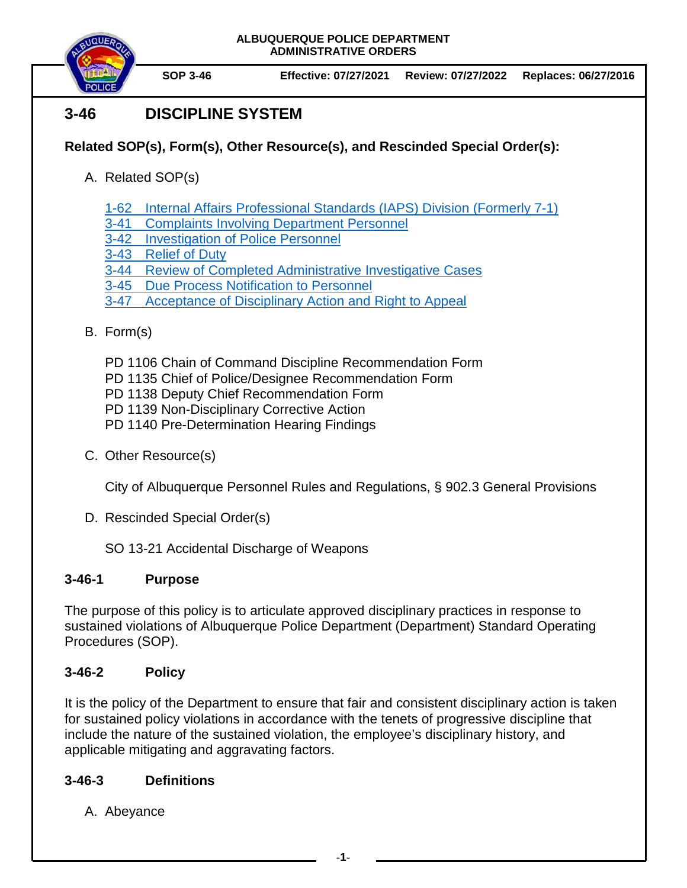



# **3-46 DISCIPLINE SYSTEM**

## **Related SOP(s), Form(s), Other Resource(s), and Rescinded Special Order(s):**

- A. Related SOP(s)
	- 1-62 [Internal Affairs Professional Standards \(IAPS\) Division \(Formerly 7-1\)](https://powerdms.com/docs/445)
	- 3-41 [Complaints Involving Department Personnel](https://powerdms.com/docs/184)
	- 3-42 [Investigation of Police Personnel](https://powerdms.com/docs/1137)
	- 3-43 [Relief of Duty](https://powerdms.com/docs/185)
	- 3-44 [Review of Completed Administrative Investigative Cases](https://powerdms.com/docs/186)
	- 3-45 [Due Process Notification to](https://powerdms.com/docs/187) Personnel
	- 3-47 [Acceptance of Disciplinary Action and Right to Appeal](https://powerdms.com/docs/188)

## B. Form(s)

- PD 1106 Chain of Command Discipline Recommendation Form
- PD 1135 Chief of Police/Designee Recommendation Form
- PD 1138 Deputy Chief Recommendation Form
- PD 1139 Non-Disciplinary Corrective Action
- PD 1140 Pre-Determination Hearing Findings
- C. Other Resource(s)

City of Albuquerque Personnel Rules and Regulations, § 902.3 General Provisions

- D. Rescinded Special Order(s)
	- SO 13-21 Accidental Discharge of Weapons

## **3-46-1 Purpose**

The purpose of this policy is to articulate approved disciplinary practices in response to sustained violations of Albuquerque Police Department (Department) Standard Operating Procedures (SOP).

## **3-46-2 Policy**

It is the policy of the Department to ensure that fair and consistent disciplinary action is taken for sustained policy violations in accordance with the tenets of progressive discipline that include the nature of the sustained violation, the employee's disciplinary history, and applicable mitigating and aggravating factors.

## **3-46-3 Definitions**

A. Abeyance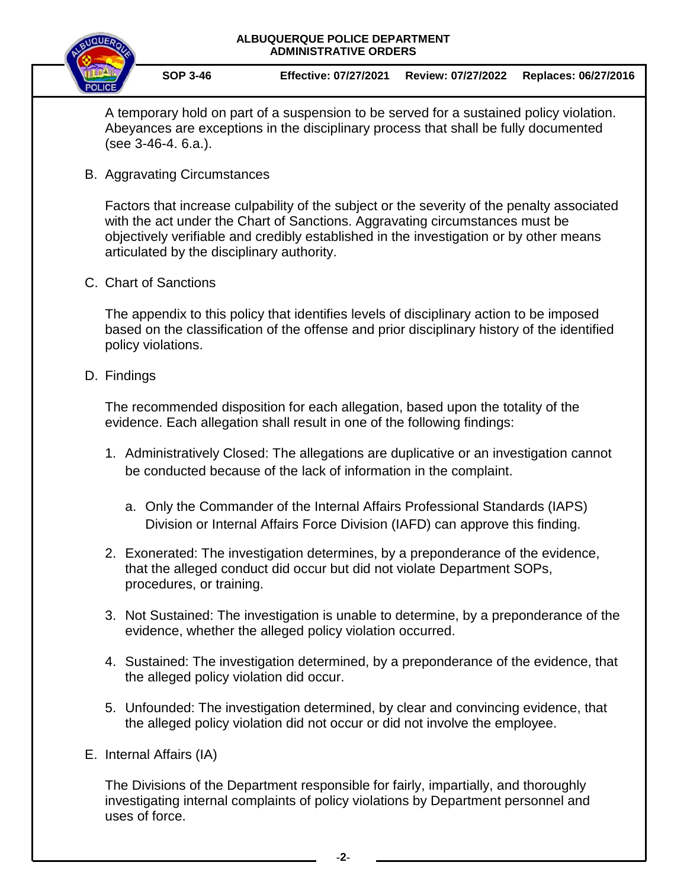

A temporary hold on part of a suspension to be served for a sustained policy violation. Abeyances are exceptions in the disciplinary process that shall be fully documented (see 3-46-4. 6.a.).

B. Aggravating Circumstances

Factors that increase culpability of the subject or the severity of the penalty associated with the act under the Chart of Sanctions. Aggravating circumstances must be objectively verifiable and credibly established in the investigation or by other means articulated by the disciplinary authority.

C. Chart of Sanctions

The appendix to this policy that identifies levels of disciplinary action to be imposed based on the classification of the offense and prior disciplinary history of the identified policy violations.

D. Findings

The recommended disposition for each allegation, based upon the totality of the evidence. Each allegation shall result in one of the following findings:

- 1. Administratively Closed: The allegations are duplicative or an investigation cannot be conducted because of the lack of information in the complaint.
	- a. Only the Commander of the Internal Affairs Professional Standards (IAPS) Division or Internal Affairs Force Division (IAFD) can approve this finding.
- 2. Exonerated: The investigation determines, by a preponderance of the evidence, that the alleged conduct did occur but did not violate Department SOPs, procedures, or training.
- 3. Not Sustained: The investigation is unable to determine, by a preponderance of the evidence, whether the alleged policy violation occurred.
- 4. Sustained: The investigation determined, by a preponderance of the evidence, that the alleged policy violation did occur.
- 5. Unfounded: The investigation determined, by clear and convincing evidence, that the alleged policy violation did not occur or did not involve the employee.
- E. Internal Affairs (IA)

The Divisions of the Department responsible for fairly, impartially, and thoroughly investigating internal complaints of policy violations by Department personnel and uses of force.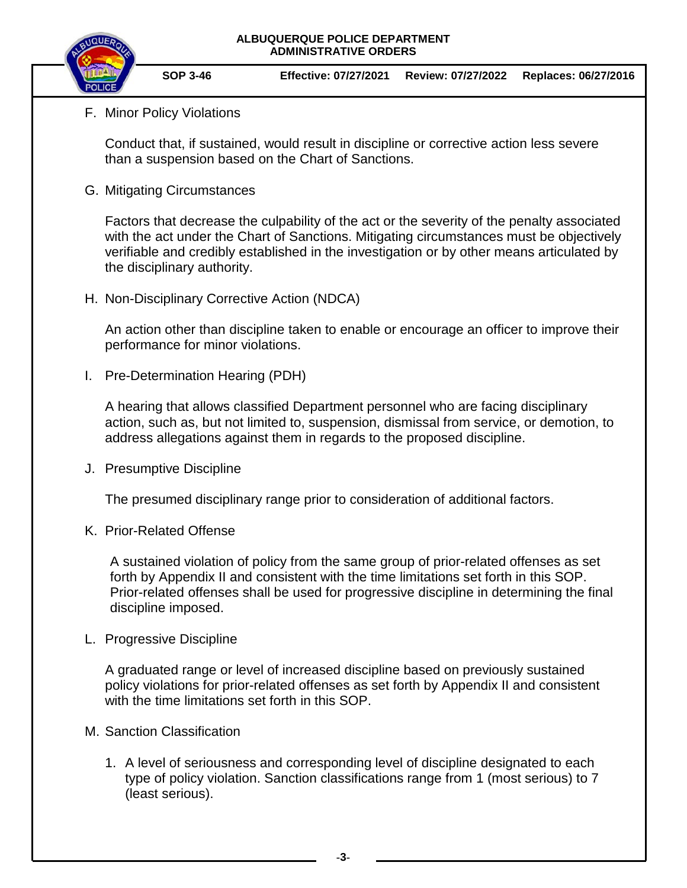

## F. Minor Policy Violations

Conduct that, if sustained, would result in discipline or corrective action less severe than a suspension based on the Chart of Sanctions.

G. Mitigating Circumstances

Factors that decrease the culpability of the act or the severity of the penalty associated with the act under the Chart of Sanctions. Mitigating circumstances must be objectively verifiable and credibly established in the investigation or by other means articulated by the disciplinary authority.

H. Non-Disciplinary Corrective Action (NDCA)

An action other than discipline taken to enable or encourage an officer to improve their performance for minor violations.

I. Pre-Determination Hearing (PDH)

A hearing that allows classified Department personnel who are facing disciplinary action, such as, but not limited to, suspension, dismissal from service, or demotion, to address allegations against them in regards to the proposed discipline.

J. Presumptive Discipline

The presumed disciplinary range prior to consideration of additional factors.

K. Prior-Related Offense

A sustained violation of policy from the same group of prior-related offenses as set forth by Appendix II and consistent with the time limitations set forth in this SOP. Prior-related offenses shall be used for progressive discipline in determining the final discipline imposed.

L. Progressive Discipline

A graduated range or level of increased discipline based on previously sustained policy violations for prior-related offenses as set forth by Appendix II and consistent with the time limitations set forth in this SOP.

- M. Sanction Classification
	- 1. A level of seriousness and corresponding level of discipline designated to each type of policy violation. Sanction classifications range from 1 (most serious) to 7 (least serious).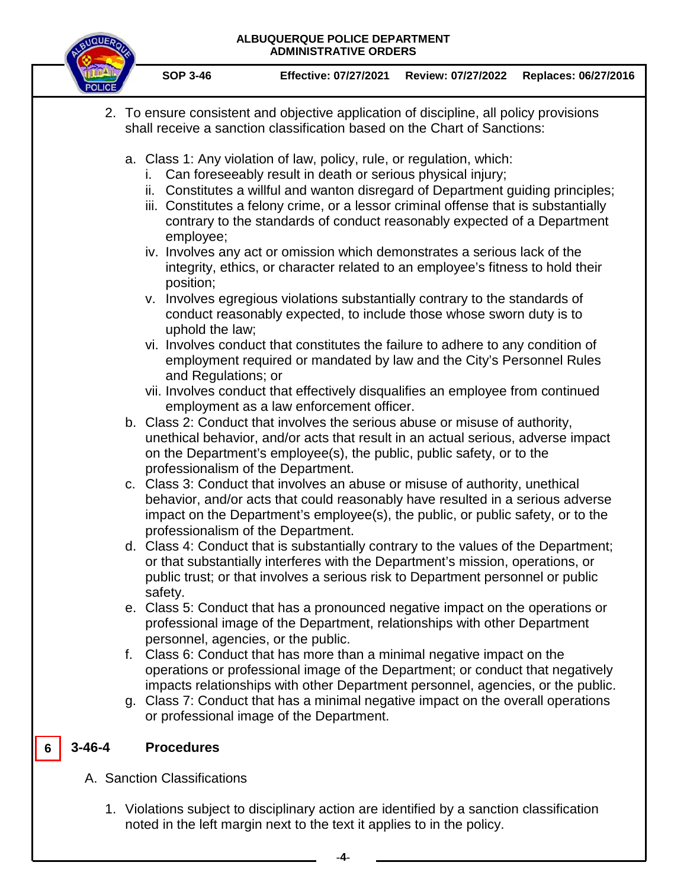

**SOP 3-46 Effective: 07/27/2021 Review: 07/27/2022 Replaces: 06/27/2016** 

- 2. To ensure consistent and objective application of discipline, all policy provisions shall receive a sanction classification based on the Chart of Sanctions:
	- a. Class 1: Any violation of law, policy, rule, or regulation, which:
		- i. Can foreseeably result in death or serious physical injury;
		- ii. Constitutes a willful and wanton disregard of Department guiding principles;
		- iii. Constitutes a felony crime, or a lessor criminal offense that is substantially contrary to the standards of conduct reasonably expected of a Department employee;
		- iv. Involves any act or omission which demonstrates a serious lack of the integrity, ethics, or character related to an employee's fitness to hold their position;
		- v. Involves egregious violations substantially contrary to the standards of conduct reasonably expected, to include those whose sworn duty is to uphold the law;
		- vi. Involves conduct that constitutes the failure to adhere to any condition of employment required or mandated by law and the City's Personnel Rules and Regulations; or
		- vii. Involves conduct that effectively disqualifies an employee from continued employment as a law enforcement officer.
	- b. Class 2: Conduct that involves the serious abuse or misuse of authority, unethical behavior, and/or acts that result in an actual serious, adverse impact on the Department's employee(s), the public, public safety, or to the professionalism of the Department.
	- c. Class 3: Conduct that involves an abuse or misuse of authority, unethical behavior, and/or acts that could reasonably have resulted in a serious adverse impact on the Department's employee(s), the public, or public safety, or to the professionalism of the Department.
	- d. Class 4: Conduct that is substantially contrary to the values of the Department; or that substantially interferes with the Department's mission, operations, or public trust; or that involves a serious risk to Department personnel or public safety.
	- e. Class 5: Conduct that has a pronounced negative impact on the operations or professional image of the Department, relationships with other Department personnel, agencies, or the public.
	- f. Class 6: Conduct that has more than a minimal negative impact on the operations or professional image of the Department; or conduct that negatively impacts relationships with other Department personnel, agencies, or the public.
	- g. Class 7: Conduct that has a minimal negative impact on the overall operations or professional image of the Department.

#### **3-46-4 Procedures 6**

- A. Sanction Classifications
	- 1. Violations subject to disciplinary action are identified by a sanction classification noted in the left margin next to the text it applies to in the policy.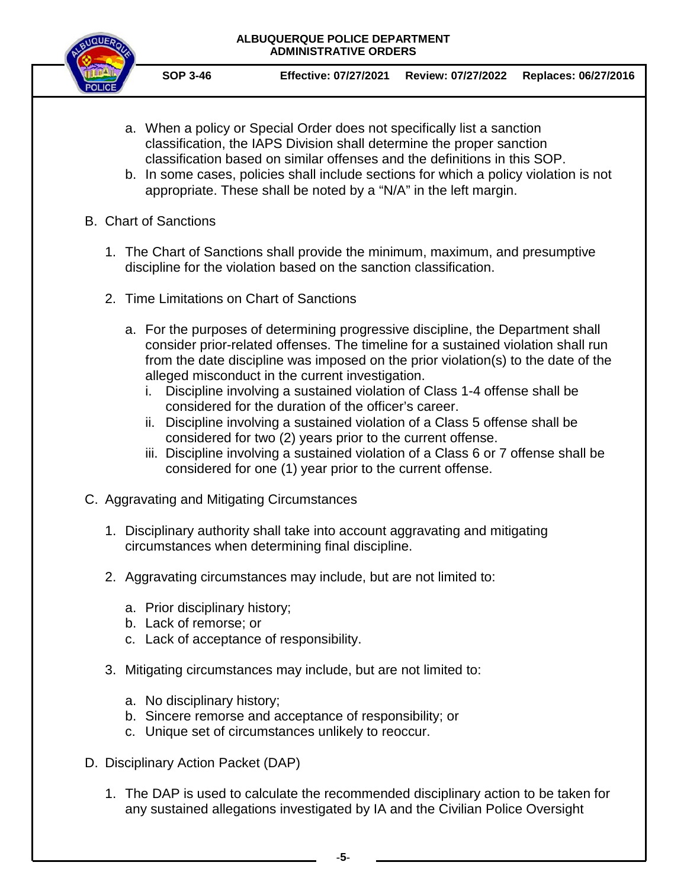

**SOP 3-46 Effective: 07/27/2021 Review: 07/27/2022 Replaces: 06/27/2016** 

- a. When a policy or Special Order does not specifically list a sanction classification, the IAPS Division shall determine the proper sanction classification based on similar offenses and the definitions in this SOP.
- b. In some cases, policies shall include sections for which a policy violation is not appropriate. These shall be noted by a "N/A" in the left margin.
- B. Chart of Sanctions
	- 1. The Chart of Sanctions shall provide the minimum, maximum, and presumptive discipline for the violation based on the sanction classification.
	- 2. Time Limitations on Chart of Sanctions
		- a. For the purposes of determining progressive discipline, the Department shall consider prior-related offenses. The timeline for a sustained violation shall run from the date discipline was imposed on the prior violation(s) to the date of the alleged misconduct in the current investigation.
			- i. Discipline involving a sustained violation of Class 1-4 offense shall be considered for the duration of the officer's career.
			- ii. Discipline involving a sustained violation of a Class 5 offense shall be considered for two (2) years prior to the current offense.
			- iii. Discipline involving a sustained violation of a Class 6 or 7 offense shall be considered for one (1) year prior to the current offense.
- C. Aggravating and Mitigating Circumstances
	- 1. Disciplinary authority shall take into account aggravating and mitigating circumstances when determining final discipline.
	- 2. Aggravating circumstances may include, but are not limited to:
		- a. Prior disciplinary history;
		- b. Lack of remorse; or
		- c. Lack of acceptance of responsibility.
	- 3. Mitigating circumstances may include, but are not limited to:
		- a. No disciplinary history;
		- b. Sincere remorse and acceptance of responsibility; or
		- c. Unique set of circumstances unlikely to reoccur.
- D. Disciplinary Action Packet (DAP)
	- 1. The DAP is used to calculate the recommended disciplinary action to be taken for any sustained allegations investigated by IA and the Civilian Police Oversight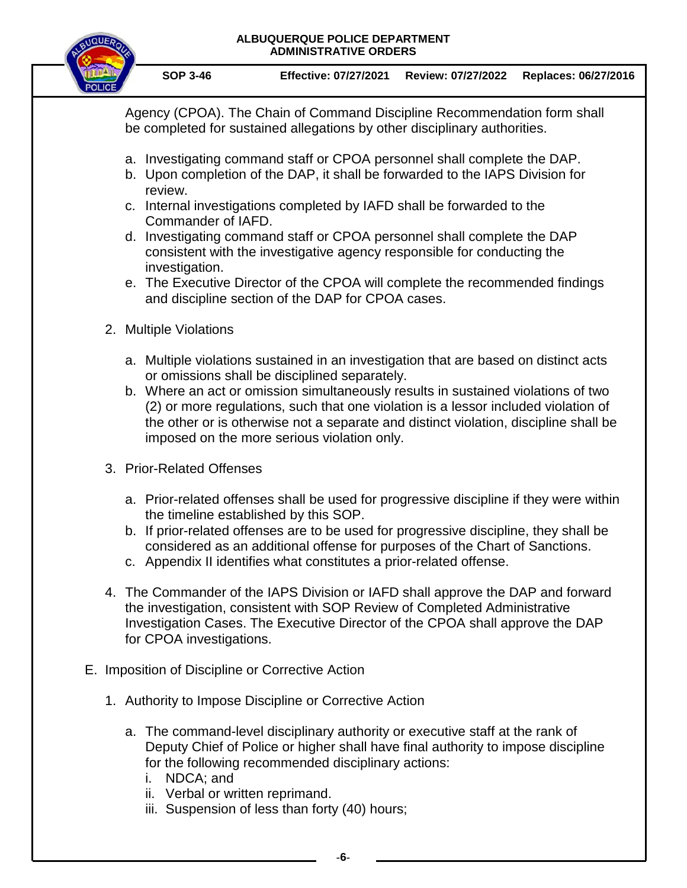

**SOP 3-46 Effective: 07/27/2021 Review: 07/27/2022 Replaces: 06/27/2016** 

Agency (CPOA). The Chain of Command Discipline Recommendation form shall be completed for sustained allegations by other disciplinary authorities.

- a. Investigating command staff or CPOA personnel shall complete the DAP.
- b. Upon completion of the DAP, it shall be forwarded to the IAPS Division for review.
- c. Internal investigations completed by IAFD shall be forwarded to the Commander of IAFD.
- d. Investigating command staff or CPOA personnel shall complete the DAP consistent with the investigative agency responsible for conducting the investigation.
- e. The Executive Director of the CPOA will complete the recommended findings and discipline section of the DAP for CPOA cases.
- 2. Multiple Violations
	- a. Multiple violations sustained in an investigation that are based on distinct acts or omissions shall be disciplined separately.
	- b. Where an act or omission simultaneously results in sustained violations of two (2) or more regulations, such that one violation is a lessor included violation of the other or is otherwise not a separate and distinct violation, discipline shall be imposed on the more serious violation only.
- 3. Prior-Related Offenses
	- a. Prior-related offenses shall be used for progressive discipline if they were within the timeline established by this SOP.
	- b. If prior-related offenses are to be used for progressive discipline, they shall be considered as an additional offense for purposes of the Chart of Sanctions.
	- c. Appendix II identifies what constitutes a prior-related offense.
- 4. The Commander of the IAPS Division or IAFD shall approve the DAP and forward the investigation, consistent with SOP Review of Completed Administrative Investigation Cases. The Executive Director of the CPOA shall approve the DAP for CPOA investigations.
- E. Imposition of Discipline or Corrective Action
	- 1. Authority to Impose Discipline or Corrective Action
		- a. The command-level disciplinary authority or executive staff at the rank of Deputy Chief of Police or higher shall have final authority to impose discipline for the following recommended disciplinary actions:
			- i. NDCA; and
			- ii. Verbal or written reprimand.
			- iii. Suspension of less than forty (40) hours;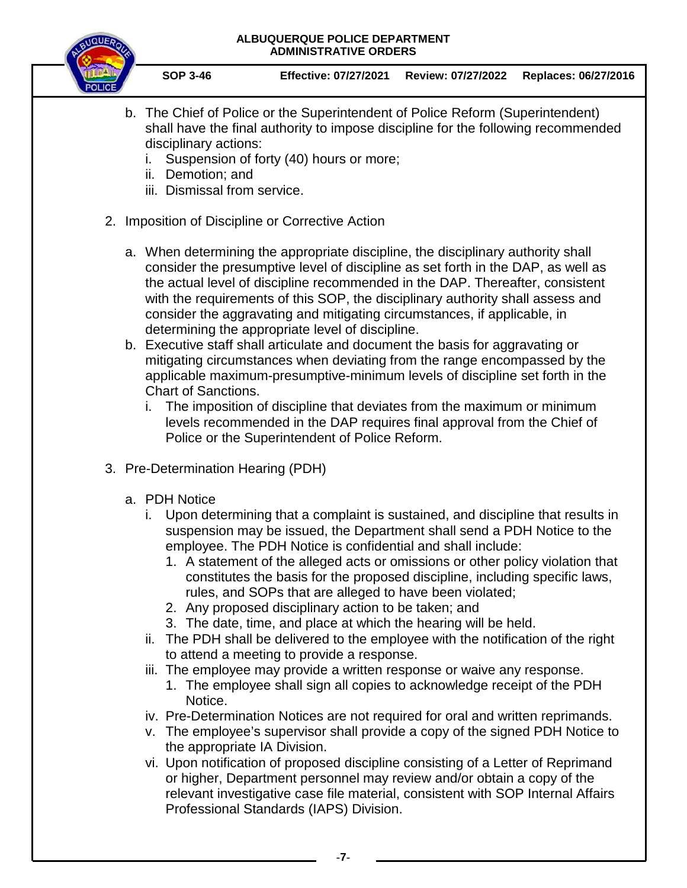

**SOP 3-46 Effective: 07/27/2021 Review: 07/27/2022 Replaces: 06/27/2016** 

- b. The Chief of Police or the Superintendent of Police Reform (Superintendent) shall have the final authority to impose discipline for the following recommended disciplinary actions:
	- i. Suspension of forty (40) hours or more;
	- ii. Demotion; and
	- iii. Dismissal from service.
- 2. Imposition of Discipline or Corrective Action
	- a. When determining the appropriate discipline, the disciplinary authority shall consider the presumptive level of discipline as set forth in the DAP, as well as the actual level of discipline recommended in the DAP. Thereafter, consistent with the requirements of this SOP, the disciplinary authority shall assess and consider the aggravating and mitigating circumstances, if applicable, in determining the appropriate level of discipline.
	- b. Executive staff shall articulate and document the basis for aggravating or mitigating circumstances when deviating from the range encompassed by the applicable maximum-presumptive-minimum levels of discipline set forth in the Chart of Sanctions.
		- i. The imposition of discipline that deviates from the maximum or minimum levels recommended in the DAP requires final approval from the Chief of Police or the Superintendent of Police Reform.
- 3. Pre-Determination Hearing (PDH)
	- a. PDH Notice
		- i. Upon determining that a complaint is sustained, and discipline that results in suspension may be issued, the Department shall send a PDH Notice to the employee. The PDH Notice is confidential and shall include:
			- 1. A statement of the alleged acts or omissions or other policy violation that constitutes the basis for the proposed discipline, including specific laws, rules, and SOPs that are alleged to have been violated;
			- 2. Any proposed disciplinary action to be taken; and
			- 3. The date, time, and place at which the hearing will be held.
		- ii. The PDH shall be delivered to the employee with the notification of the right to attend a meeting to provide a response.
		- iii. The employee may provide a written response or waive any response.
			- 1. The employee shall sign all copies to acknowledge receipt of the PDH Notice.
		- iv. Pre-Determination Notices are not required for oral and written reprimands.
		- v. The employee's supervisor shall provide a copy of the signed PDH Notice to the appropriate IA Division.
		- vi. Upon notification of proposed discipline consisting of a Letter of Reprimand or higher, Department personnel may review and/or obtain a copy of the relevant investigative case file material, consistent with SOP Internal Affairs Professional Standards (IAPS) Division.

**-7-**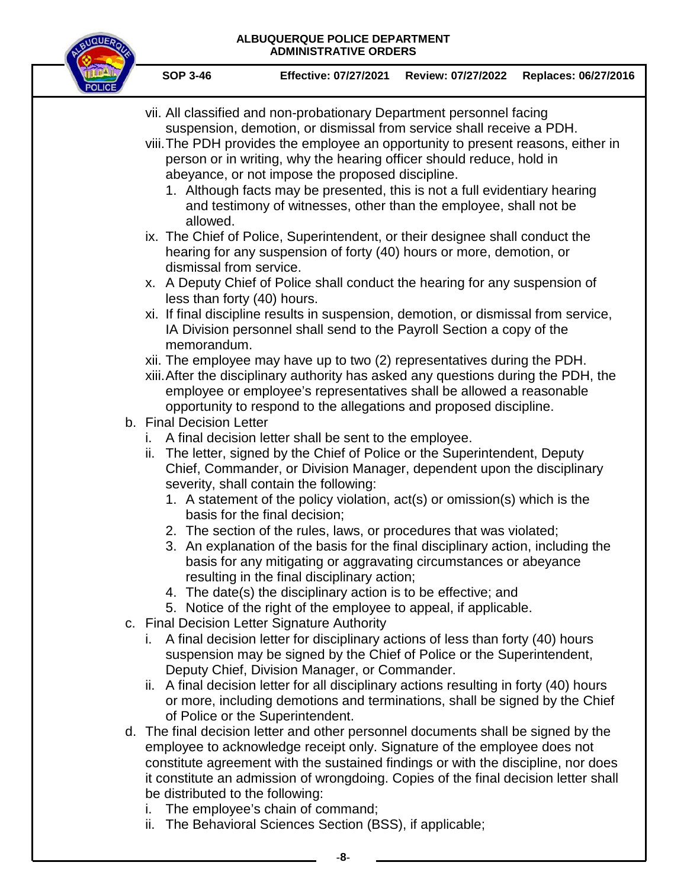

**SOP 3-46 Effective: 07/27/2021 Review: 07/27/2022 Replaces: 06/27/2016** 

- vii. All classified and non-probationary Department personnel facing suspension, demotion, or dismissal from service shall receive a PDH. viii.The PDH provides the employee an opportunity to present reasons, either in person or in writing, why the hearing officer should reduce, hold in abeyance, or not impose the proposed discipline. 1. Although facts may be presented, this is not a full evidentiary hearing and testimony of witnesses, other than the employee, shall not be allowed. ix. The Chief of Police, Superintendent, or their designee shall conduct the hearing for any suspension of forty (40) hours or more, demotion, or dismissal from service. x. A Deputy Chief of Police shall conduct the hearing for any suspension of less than forty (40) hours. xi. If final discipline results in suspension, demotion, or dismissal from service, IA Division personnel shall send to the Payroll Section a copy of the memorandum. xii. The employee may have up to two (2) representatives during the PDH. xiii.After the disciplinary authority has asked any questions during the PDH, the employee or employee's representatives shall be allowed a reasonable opportunity to respond to the allegations and proposed discipline. b. Final Decision Letter i. A final decision letter shall be sent to the employee. ii. The letter, signed by the Chief of Police or the Superintendent, Deputy Chief, Commander, or Division Manager, dependent upon the disciplinary severity, shall contain the following: 1. A statement of the policy violation, act(s) or omission(s) which is the basis for the final decision; 2. The section of the rules, laws, or procedures that was violated; 3. An explanation of the basis for the final disciplinary action, including the basis for any mitigating or aggravating circumstances or abeyance resulting in the final disciplinary action; 4. The date(s) the disciplinary action is to be effective; and 5. Notice of the right of the employee to appeal, if applicable. c. Final Decision Letter Signature Authority i. A final decision letter for disciplinary actions of less than forty (40) hours suspension may be signed by the Chief of Police or the Superintendent, Deputy Chief, Division Manager, or Commander. ii. A final decision letter for all disciplinary actions resulting in forty (40) hours or more, including demotions and terminations, shall be signed by the Chief of Police or the Superintendent. d. The final decision letter and other personnel documents shall be signed by the employee to acknowledge receipt only. Signature of the employee does not constitute agreement with the sustained findings or with the discipline, nor does it constitute an admission of wrongdoing. Copies of the final decision letter shall be distributed to the following:
	- i. The employee's chain of command;
	- ii. The Behavioral Sciences Section (BSS), if applicable;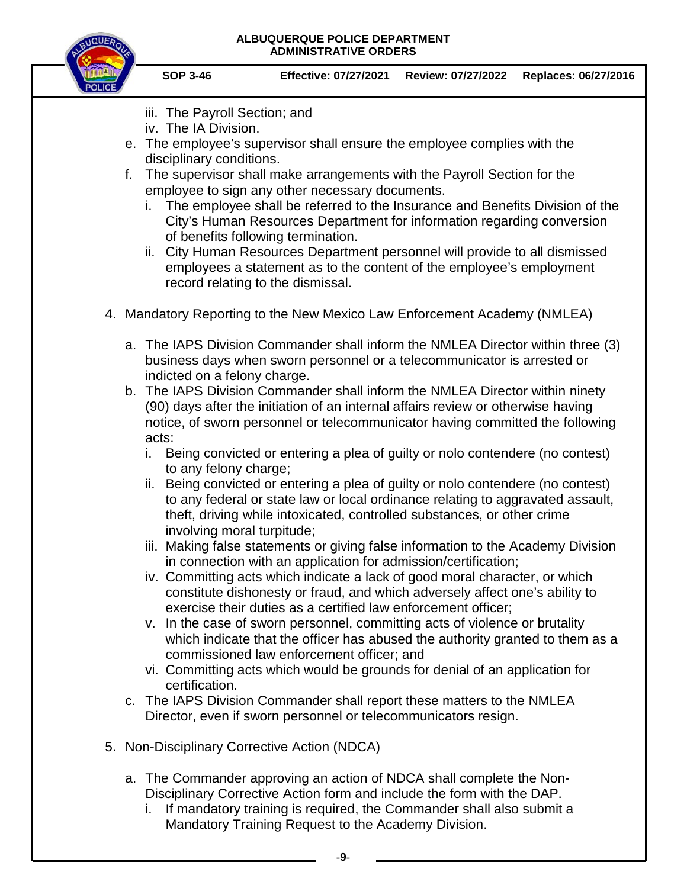

**SOP 3-46 Effective: 07/27/2021 Review: 07/27/2022 Replaces: 06/27/2016** 

- iii. The Payroll Section; and
- iv. The IA Division.
- e. The employee's supervisor shall ensure the employee complies with the disciplinary conditions.
- f. The supervisor shall make arrangements with the Payroll Section for the employee to sign any other necessary documents.
	- i. The employee shall be referred to the Insurance and Benefits Division of the City's Human Resources Department for information regarding conversion of benefits following termination.
	- ii. City Human Resources Department personnel will provide to all dismissed employees a statement as to the content of the employee's employment record relating to the dismissal.
- 4. Mandatory Reporting to the New Mexico Law Enforcement Academy (NMLEA)
	- a. The IAPS Division Commander shall inform the NMLEA Director within three (3) business days when sworn personnel or a telecommunicator is arrested or indicted on a felony charge.
	- b. The IAPS Division Commander shall inform the NMLEA Director within ninety (90) days after the initiation of an internal affairs review or otherwise having notice, of sworn personnel or telecommunicator having committed the following acts:
		- i. Being convicted or entering a plea of guilty or nolo contendere (no contest) to any felony charge;
		- ii. Being convicted or entering a plea of guilty or nolo contendere (no contest) to any federal or state law or local ordinance relating to aggravated assault, theft, driving while intoxicated, controlled substances, or other crime involving moral turpitude;
		- iii. Making false statements or giving false information to the Academy Division in connection with an application for admission/certification;
		- iv. Committing acts which indicate a lack of good moral character, or which constitute dishonesty or fraud, and which adversely affect one's ability to exercise their duties as a certified law enforcement officer;
		- v. In the case of sworn personnel, committing acts of violence or brutality which indicate that the officer has abused the authority granted to them as a commissioned law enforcement officer; and
		- vi. Committing acts which would be grounds for denial of an application for certification.
	- c. The IAPS Division Commander shall report these matters to the NMLEA Director, even if sworn personnel or telecommunicators resign.
- 5. Non-Disciplinary Corrective Action (NDCA)
	- a. The Commander approving an action of NDCA shall complete the Non-Disciplinary Corrective Action form and include the form with the DAP.
		- i. If mandatory training is required, the Commander shall also submit a Mandatory Training Request to the Academy Division.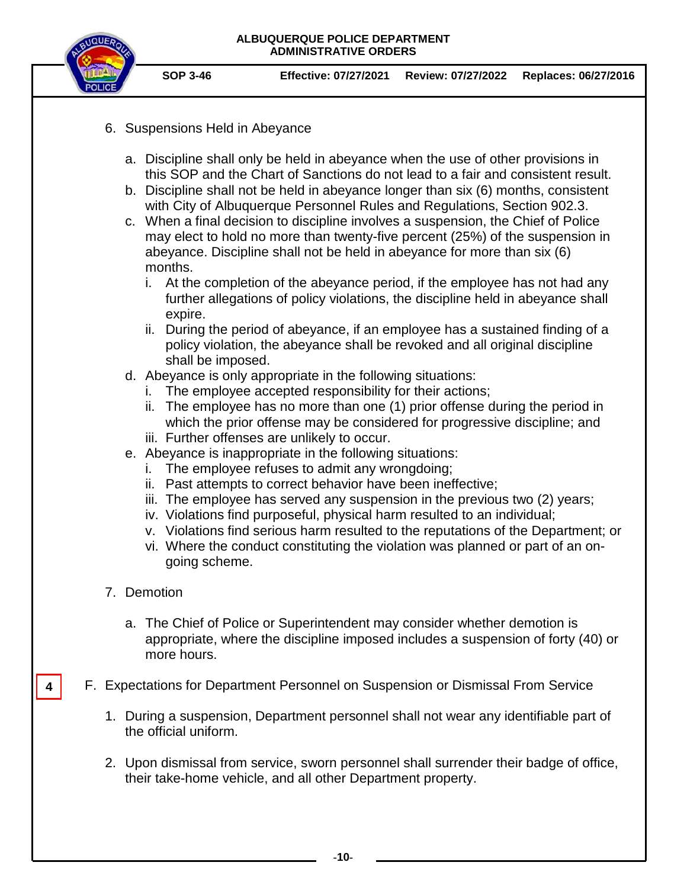

- 6. Suspensions Held in Abeyance
	- a. Discipline shall only be held in abeyance when the use of other provisions in this SOP and the Chart of Sanctions do not lead to a fair and consistent result.
	- b. Discipline shall not be held in abeyance longer than six (6) months, consistent with City of Albuquerque Personnel Rules and Regulations, Section 902.3.
	- c. When a final decision to discipline involves a suspension, the Chief of Police may elect to hold no more than twenty-five percent (25%) of the suspension in abeyance. Discipline shall not be held in abeyance for more than six (6) months.
		- i. At the completion of the abeyance period, if the employee has not had any further allegations of policy violations, the discipline held in abeyance shall expire.
		- ii. During the period of abeyance, if an employee has a sustained finding of a policy violation, the abeyance shall be revoked and all original discipline shall be imposed.
	- d. Abeyance is only appropriate in the following situations:
		- i. The employee accepted responsibility for their actions;
		- ii. The employee has no more than one (1) prior offense during the period in which the prior offense may be considered for progressive discipline; and
		- iii. Further offenses are unlikely to occur.
	- e. Abeyance is inappropriate in the following situations:
		- i. The employee refuses to admit any wrongdoing;
		- ii. Past attempts to correct behavior have been ineffective;
		- iii. The employee has served any suspension in the previous two (2) years;
		- iv. Violations find purposeful, physical harm resulted to an individual;
		- v. Violations find serious harm resulted to the reputations of the Department; or
		- vi. Where the conduct constituting the violation was planned or part of an ongoing scheme.
- 7. Demotion

**4**

- a. The Chief of Police or Superintendent may consider whether demotion is appropriate, where the discipline imposed includes a suspension of forty (40) or more hours.
- F. Expectations for Department Personnel on Suspension or Dismissal From Service
	- 1. During a suspension, Department personnel shall not wear any identifiable part of the official uniform.
	- 2. Upon dismissal from service, sworn personnel shall surrender their badge of office, their take-home vehicle, and all other Department property.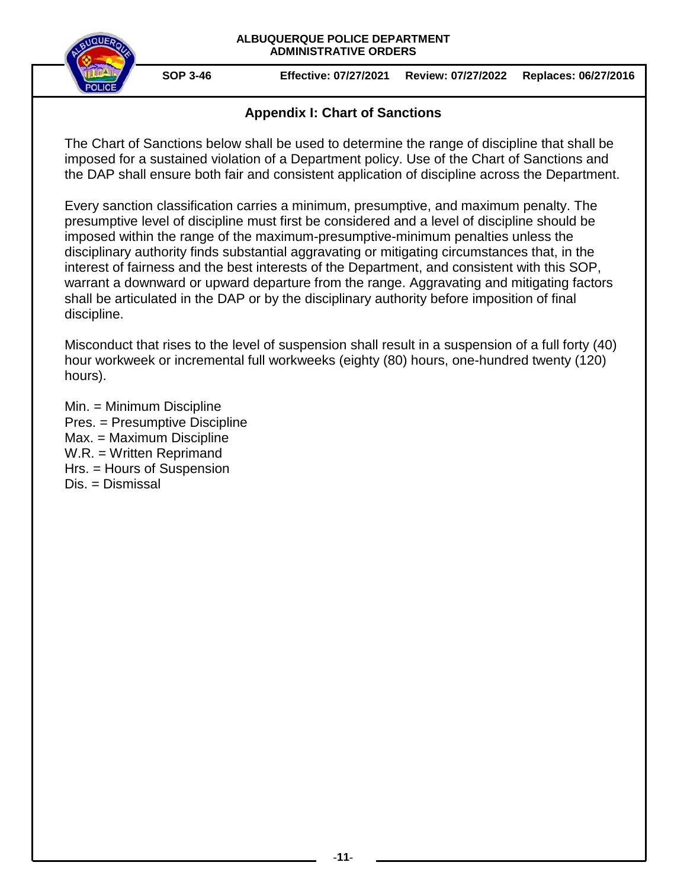

## **Appendix I: Chart of Sanctions**

The Chart of Sanctions below shall be used to determine the range of discipline that shall be imposed for a sustained violation of a Department policy. Use of the Chart of Sanctions and the DAP shall ensure both fair and consistent application of discipline across the Department.

Every sanction classification carries a minimum, presumptive, and maximum penalty. The presumptive level of discipline must first be considered and a level of discipline should be imposed within the range of the maximum-presumptive-minimum penalties unless the disciplinary authority finds substantial aggravating or mitigating circumstances that, in the interest of fairness and the best interests of the Department, and consistent with this SOP, warrant a downward or upward departure from the range. Aggravating and mitigating factors shall be articulated in the DAP or by the disciplinary authority before imposition of final discipline.

Misconduct that rises to the level of suspension shall result in a suspension of a full forty (40) hour workweek or incremental full workweeks (eighty (80) hours, one-hundred twenty (120) hours).

Min. = Minimum Discipline Pres. = Presumptive Discipline Max. = Maximum Discipline W.R. = Written Reprimand Hrs. = Hours of Suspension Dis. = Dismissal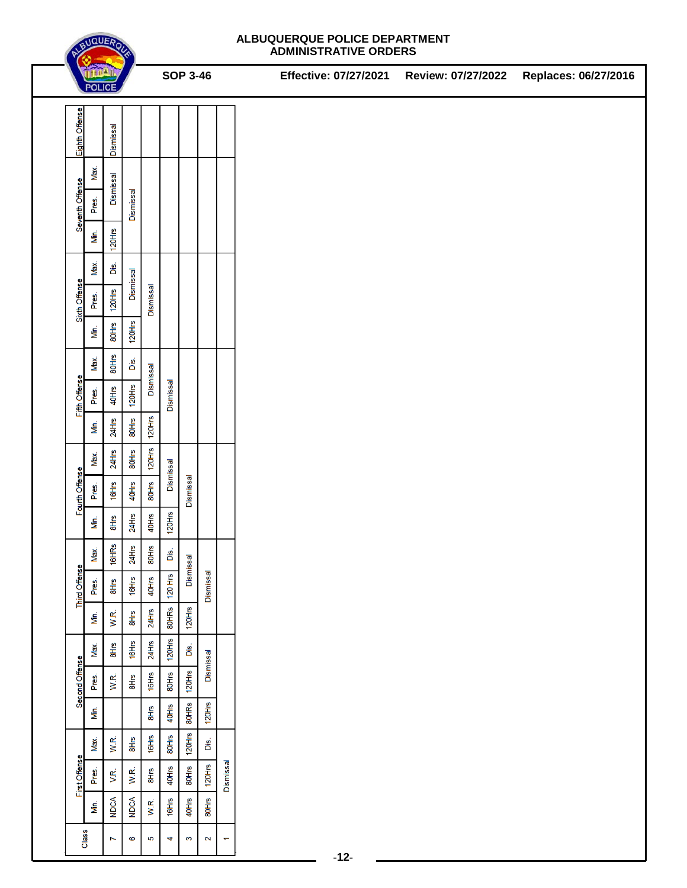

|                      | THEAT<br><b>POLICE</b> |                  |                     | <b>SOP 3-46</b> |           |              |                         |           | Effective: 07/27/2021 | Review: 07/27/2022 | Replaces: 06/27/2016 |
|----------------------|------------------------|------------------|---------------------|-----------------|-----------|--------------|-------------------------|-----------|-----------------------|--------------------|----------------------|
| Eighth Offense       |                        | <b>Dismissal</b> |                     |                 |           |              |                         |           |                       |                    |                      |
| Seventh Offense      | Max.<br>Pres.          | Dismissal        | Dismissal           |                 |           |              |                         |           |                       |                    |                      |
|                      | Min.                   | 120              |                     |                 |           |              |                         |           |                       |                    |                      |
| Sixth Offense        | Max.                   | ÖŚ.              |                     |                 |           |              |                         |           |                       |                    |                      |
|                      | Pres.                  | $120$ llis       | Dismissal           | Dismissal       |           |              |                         |           |                       |                    |                      |
|                      | М'n.                   | 80Hrs            | 120Hrs              |                 |           |              |                         |           |                       |                    |                      |
| Fifth Offense        | Max.                   | 80Hrs            | Di <mark>s</mark> . |                 |           |              |                         |           |                       |                    |                      |
|                      | Pres.                  | $40$ llis        | $120$ Hrs           | Dismissal       | Dismissal |              |                         |           |                       |                    |                      |
|                      | ΔÍΠ.                   | $24$ llis        | 80Hrs               | 120Hrs          |           |              |                         |           |                       |                    |                      |
|                      | Max.                   | $24$ Hrs         | 80Hrs               | 120Hrs          | Dismissal |              |                         |           |                       |                    |                      |
| Fourth Offense       | Pres.                  | 16Hrs            | 40Hrs               | 80Hrs           |           | Dismissal    |                         |           |                       |                    |                      |
|                      | Ńп.                    | 8llrs            | $24$ Hrs            | 40Hrs           | $120$ Hrs |              |                         |           |                       |                    |                      |
| <b>Third Offense</b> | Max.                   | 16HRs            | $24$ Hrs            | 80Hrs           | Dis.      |              |                         |           |                       |                    |                      |
|                      | Pres.                  | 8Hrs             | 16Hrs               | 40Hrs           | $120$ Hrs | Dismissal    | <b>Dismissa</b>         |           |                       |                    |                      |
|                      | М'n.                   | W.R.             | <b>BHrs</b>         | 24Hrs           | 80HRs     | $120$ Hrs    |                         |           |                       |                    |                      |
| Second Offense       | Max.                   | $rac{1}{2}$      | 16Hrs               | $24$ Hrs        | 120Hrs    | Dis.         | Dismissal               |           |                       |                    |                      |
|                      | Pres.                  | W.R.             | 8H <sub>IS</sub>    | 16Hrs           | 80Hrs     | $120$ Hrs    |                         |           |                       |                    |                      |
|                      | Min.                   |                  |                     | 8Hrs            | 40Hrs     | 80HRs        | $120$ Hrs               |           |                       |                    |                      |
| First Offense        | Max.                   | W.R.             | 8Hrs                | 16Hrs           | 80Hrs     | 120Hrs       | ÖŚ.                     |           |                       |                    |                      |
|                      | Pres.                  | V.R.             | W.R.                | 8Hrs            | 40Hrs     | 80Hrs        | $120$ Hrs               | Dismissal |                       |                    |                      |
|                      | М'n.                   | <b>NDCA</b>      | <b>NDCA</b>         | W.R.            | 16Hrs     | 40Hrs        | 80Hrs                   |           |                       |                    |                      |
| Class                | $\blacktriangleright$  | $\mathbf 0$      | S                   | 4               | S         | $\mathbf{z}$ | $\overline{\mathbf{v}}$ | $-12-$    |                       |                    |                      |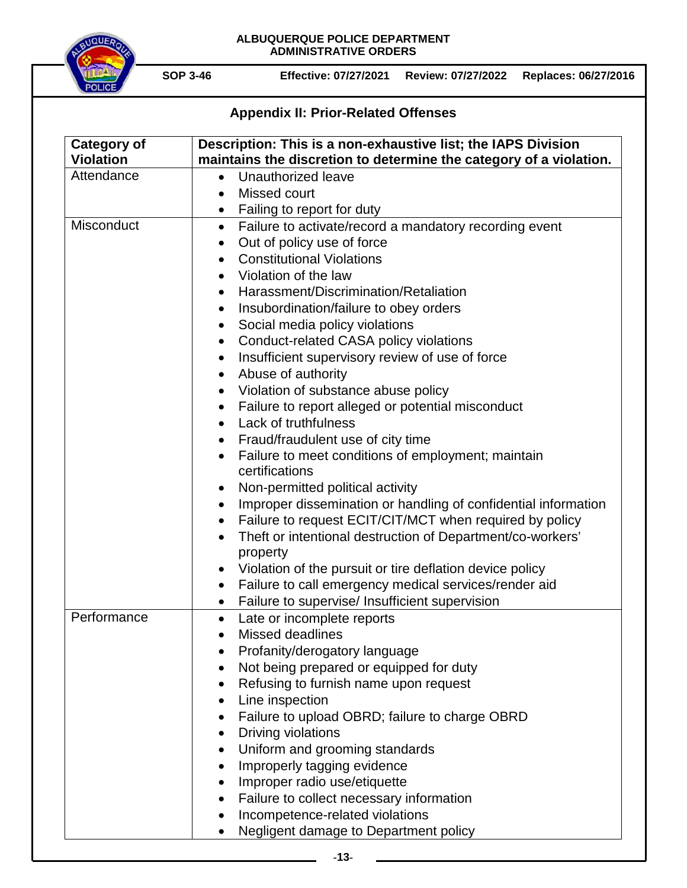

# **Appendix II: Prior-Related Offenses**

| <b>Category of</b><br><b>Violation</b> | Description: This is a non-exhaustive list; the IAPS Division<br>maintains the discretion to determine the category of a violation. |
|----------------------------------------|-------------------------------------------------------------------------------------------------------------------------------------|
| Attendance                             | Unauthorized leave<br>$\bullet$                                                                                                     |
|                                        | Missed court<br>$\bullet$                                                                                                           |
|                                        | Failing to report for duty<br>$\bullet$                                                                                             |
| Misconduct                             | Failure to activate/record a mandatory recording event<br>$\bullet$                                                                 |
|                                        | Out of policy use of force                                                                                                          |
|                                        | <b>Constitutional Violations</b><br>$\bullet$                                                                                       |
|                                        | Violation of the law                                                                                                                |
|                                        | Harassment/Discrimination/Retaliation<br>$\bullet$                                                                                  |
|                                        | Insubordination/failure to obey orders<br>$\bullet$                                                                                 |
|                                        | Social media policy violations<br>$\bullet$                                                                                         |
|                                        | Conduct-related CASA policy violations<br>$\bullet$                                                                                 |
|                                        | Insufficient supervisory review of use of force<br>٠                                                                                |
|                                        | Abuse of authority<br>$\bullet$                                                                                                     |
|                                        | Violation of substance abuse policy                                                                                                 |
|                                        | Failure to report alleged or potential misconduct<br>$\bullet$                                                                      |
|                                        | Lack of truthfulness<br>$\bullet$                                                                                                   |
|                                        | Fraud/fraudulent use of city time<br>$\bullet$                                                                                      |
|                                        | Failure to meet conditions of employment; maintain                                                                                  |
|                                        | certifications                                                                                                                      |
|                                        | Non-permitted political activity                                                                                                    |
|                                        | Improper dissemination or handling of confidential information<br>$\bullet$                                                         |
|                                        | Failure to request ECIT/CIT/MCT when required by policy<br>$\bullet$                                                                |
|                                        | Theft or intentional destruction of Department/co-workers'<br>property                                                              |
|                                        | Violation of the pursuit or tire deflation device policy<br>$\bullet$                                                               |
|                                        | Failure to call emergency medical services/render aid<br>$\bullet$                                                                  |
|                                        | Failure to supervise/ Insufficient supervision<br>$\bullet$                                                                         |
| Performance                            | Late or incomplete reports<br>$\bullet$                                                                                             |
|                                        | <b>Missed deadlines</b>                                                                                                             |
|                                        | Profanity/derogatory language                                                                                                       |
|                                        | Not being prepared or equipped for duty                                                                                             |
|                                        | Refusing to furnish name upon request                                                                                               |
|                                        | Line inspection                                                                                                                     |
|                                        | Failure to upload OBRD; failure to charge OBRD                                                                                      |
|                                        | Driving violations                                                                                                                  |
|                                        | Uniform and grooming standards                                                                                                      |
|                                        | Improperly tagging evidence                                                                                                         |
|                                        | Improper radio use/etiquette                                                                                                        |
|                                        | Failure to collect necessary information                                                                                            |
|                                        | Incompetence-related violations                                                                                                     |
|                                        | Negligent damage to Department policy                                                                                               |